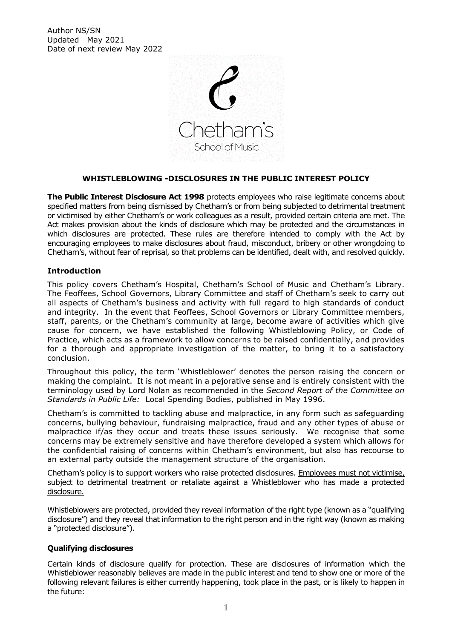Author NS/SN Updated May 2021 Date of next review May 2022



# **WHISTLEBLOWING -DISCLOSURES IN THE PUBLIC INTEREST POLICY**

**The Public Interest Disclosure Act 1998** protects employees who raise legitimate concerns about specified matters from being dismissed by Chetham's or from being subjected to detrimental treatment or victimised by either Chetham's or work colleagues as a result, provided certain criteria are met. The Act makes provision about the kinds of disclosure which may be protected and the circumstances in which disclosures are protected. These rules are therefore intended to comply with the Act by encouraging employees to make disclosures about fraud, misconduct, bribery or other wrongdoing to Chetham's, without fear of reprisal, so that problems can be identified, dealt with, and resolved quickly.

# **Introduction**

This policy covers Chetham's Hospital, Chetham's School of Music and Chetham's Library. The Feoffees, School Governors, Library Committee and staff of Chetham's seek to carry out all aspects of Chetham's business and activity with full regard to high standards of conduct and integrity. In the event that Feoffees, School Governors or Library Committee members, staff, parents, or the Chetham's community at large, become aware of activities which give cause for concern, we have established the following Whistleblowing Policy, or Code of Practice, which acts as a framework to allow concerns to be raised confidentially, and provides for a thorough and appropriate investigation of the matter, to bring it to a satisfactory conclusion.

Throughout this policy, the term 'Whistleblower' denotes the person raising the concern or making the complaint. It is not meant in a pejorative sense and is entirely consistent with the terminology used by Lord Nolan as recommended in the *Second Report of the Committee on Standards in Public Life:* Local Spending Bodies, published in May 1996.

Chetham's is committed to tackling abuse and malpractice, in any form such as safeguarding concerns, bullying behaviour, fundraising malpractice, fraud and any other types of abuse or malpractice if/as they occur and treats these issues seriously. We recognise that some concerns may be extremely sensitive and have therefore developed a system which allows for the confidential raising of concerns within Chetham's environment, but also has recourse to an external party outside the management structure of the organisation.

Chetham's policy is to support workers who raise protected disclosures. Employees must not victimise, subject to detrimental treatment or retaliate against a Whistleblower who has made a protected disclosure.

Whistleblowers are protected, provided they reveal information of the right type (known as a "qualifying disclosure") and they reveal that information to the right person and in the right way (known as making a "protected disclosure").

# **Qualifying disclosures**

Certain kinds of disclosure qualify for protection. These are disclosures of information which the Whistleblower reasonably believes are made in the public interest and tend to show one or more of the following relevant failures is either currently happening, took place in the past, or is likely to happen in the future: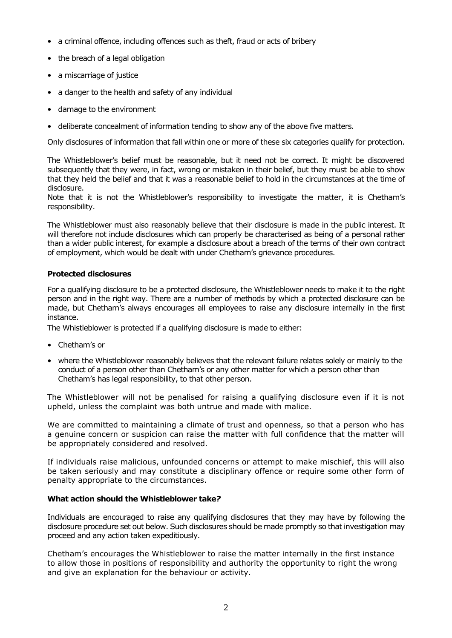- a criminal offence, including offences such as theft, fraud or acts of bribery
- the breach of a legal obligation
- a miscarriage of justice
- a danger to the health and safety of any individual
- damage to the environment
- deliberate concealment of information tending to show any of the above five matters.

Only disclosures of information that fall within one or more of these six categories qualify for protection.

The Whistleblower's belief must be reasonable, but it need not be correct. It might be discovered subsequently that they were, in fact, wrong or mistaken in their belief, but they must be able to show that they held the belief and that it was a reasonable belief to hold in the circumstances at the time of disclosure.

Note that it is not the Whistleblower's responsibility to investigate the matter, it is Chetham's responsibility.

The Whistleblower must also reasonably believe that their disclosure is made in the public interest. It will therefore not include disclosures which can properly be characterised as being of a personal rather than a wider public interest, for example a disclosure about a breach of the terms of their own contract of employment, which would be dealt with under Chetham's grievance procedures.

### **Protected disclosures**

For a qualifying disclosure to be a protected disclosure, the Whistleblower needs to make it to the right person and in the right way. There are a number of methods by which a protected disclosure can be made, but Chetham's always encourages all employees to raise any disclosure internally in the first instance.

The Whistleblower is protected if a qualifying disclosure is made to either:

- Chetham's or
- where the Whistleblower reasonably believes that the relevant failure relates solely or mainly to the conduct of a person other than Chetham's or any other matter for which a person other than Chetham's has legal responsibility, to that other person.

The Whistleblower will not be penalised for raising a qualifying disclosure even if it is not upheld, unless the complaint was both untrue and made with malice.

We are committed to maintaining a climate of trust and openness, so that a person who has a genuine concern or suspicion can raise the matter with full confidence that the matter will be appropriately considered and resolved.

If individuals raise malicious, unfounded concerns or attempt to make mischief, this will also be taken seriously and may constitute a disciplinary offence or require some other form of penalty appropriate to the circumstances.

### **What action should the Whistleblower take***?*

Individuals are encouraged to raise any qualifying disclosures that they may have by following the disclosure procedure set out below. Such disclosures should be made promptly so that investigation may proceed and any action taken expeditiously.

Chetham's encourages the Whistleblower to raise the matter internally in the first instance to allow those in positions of responsibility and authority the opportunity to right the wrong and give an explanation for the behaviour or activity.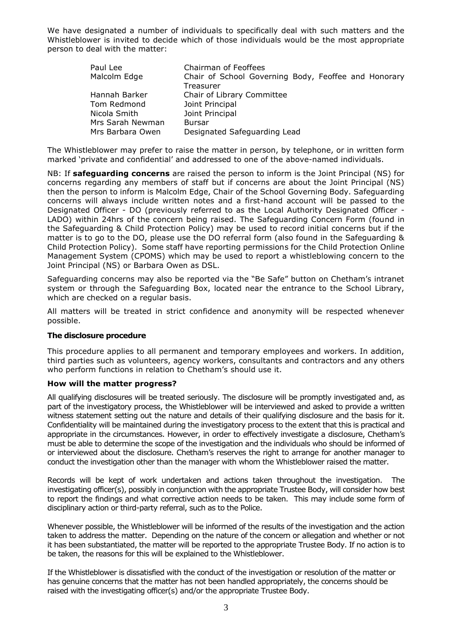We have designated a number of individuals to specifically deal with such matters and the Whistleblower is invited to decide which of those individuals would be the most appropriate person to deal with the matter:

| Paul Lee         | Chairman of Feoffees                                 |
|------------------|------------------------------------------------------|
| Malcolm Edge     | Chair of School Governing Body, Feoffee and Honorary |
|                  | Treasurer                                            |
| Hannah Barker    | Chair of Library Committee                           |
| Tom Redmond      | Joint Principal                                      |
| Nicola Smith     | Joint Principal                                      |
| Mrs Sarah Newman | <b>Bursar</b>                                        |
| Mrs Barbara Owen | Designated Safeguarding Lead                         |

The Whistleblower may prefer to raise the matter in person, by telephone, or in written form marked 'private and confidential' and addressed to one of the above-named individuals.

NB: If **safeguarding concerns** are raised the person to inform is the Joint Principal (NS) for concerns regarding any members of staff but if concerns are about the Joint Principal (NS) then the person to inform is Malcolm Edge, Chair of the School Governing Body. Safeguarding concerns will always include written notes and a first-hand account will be passed to the Designated Officer - DO (previously referred to as the Local Authority Designated Officer - LADO) within 24hrs of the concern being raised. The Safeguarding Concern Form (found in the Safeguarding & Child Protection Policy) may be used to record initial concerns but if the matter is to go to the DO, please use the DO referral form (also found in the Safeguarding & Child Protection Policy). Some staff have reporting permissions for the Child Protection Online Management System (CPOMS) which may be used to report a whistleblowing concern to the Joint Principal (NS) or Barbara Owen as DSL.

Safeguarding concerns may also be reported via the "Be Safe" button on Chetham's intranet system or through the Safeguarding Box, located near the entrance to the School Library, which are checked on a regular basis.

All matters will be treated in strict confidence and anonymity will be respected whenever possible.

### **The disclosure procedure**

This procedure applies to all permanent and temporary employees and workers. In addition, third parties such as volunteers, agency workers, consultants and contractors and any others who perform functions in relation to Chetham's should use it.

#### **How will the matter progress?**

All qualifying disclosures will be treated seriously. The disclosure will be promptly investigated and, as part of the investigatory process, the Whistleblower will be interviewed and asked to provide a written witness statement setting out the nature and details of their qualifying disclosure and the basis for it. Confidentiality will be maintained during the investigatory process to the extent that this is practical and appropriate in the circumstances. However, in order to effectively investigate a disclosure, Chetham's must be able to determine the scope of the investigation and the individuals who should be informed of or interviewed about the disclosure. Chetham's reserves the right to arrange for another manager to conduct the investigation other than the manager with whom the Whistleblower raised the matter.

Records will be kept of work undertaken and actions taken throughout the investigation. The investigating officer(s), possibly in conjunction with the appropriate Trustee Body, will consider how best to report the findings and what corrective action needs to be taken. This may include some form of disciplinary action or third-party referral, such as to the Police.

Whenever possible, the Whistleblower will be informed of the results of the investigation and the action taken to address the matter. Depending on the nature of the concern or allegation and whether or not it has been substantiated, the matter will be reported to the appropriate Trustee Body. If no action is to be taken, the reasons for this will be explained to the Whistleblower.

If the Whistleblower is dissatisfied with the conduct of the investigation or resolution of the matter or has genuine concerns that the matter has not been handled appropriately, the concerns should be raised with the investigating officer(s) and/or the appropriate Trustee Body.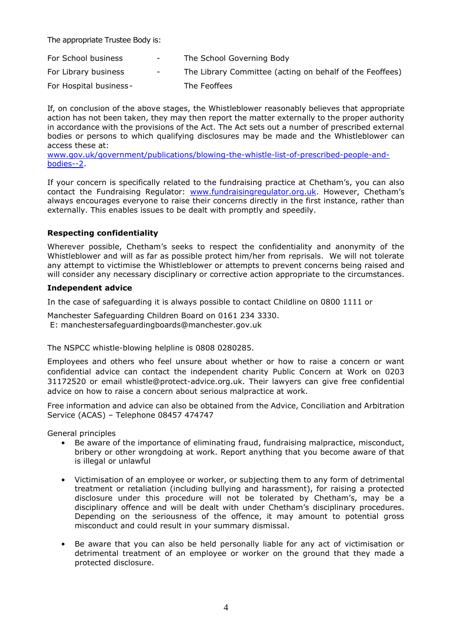The appropriate Trustee Body is:

| For School business     | $\sim$ 100 $\mu$                                                                                                                                                                                                                                                                                                                                                                                                                                                           | The School Governing Body                                |
|-------------------------|----------------------------------------------------------------------------------------------------------------------------------------------------------------------------------------------------------------------------------------------------------------------------------------------------------------------------------------------------------------------------------------------------------------------------------------------------------------------------|----------------------------------------------------------|
| For Library business    | $\frac{1}{2} \left( \frac{1}{2} \right) \left( \frac{1}{2} \right) \left( \frac{1}{2} \right) \left( \frac{1}{2} \right) \left( \frac{1}{2} \right) \left( \frac{1}{2} \right) \left( \frac{1}{2} \right) \left( \frac{1}{2} \right) \left( \frac{1}{2} \right) \left( \frac{1}{2} \right) \left( \frac{1}{2} \right) \left( \frac{1}{2} \right) \left( \frac{1}{2} \right) \left( \frac{1}{2} \right) \left( \frac{1}{2} \right) \left( \frac{1}{2} \right) \left( \frac$ | The Library Committee (acting on behalf of the Feoffees) |
| For Hospital business - |                                                                                                                                                                                                                                                                                                                                                                                                                                                                            | The Feoffees                                             |

If, on conclusion of the above stages, the Whistleblower reasonably believes that appropriate action has not been taken, they may then report the matter externally to the proper authority in accordance with the provisions of the Act. The Act sets out a number of prescribed external bodies or persons to which qualifying disclosures may be made and the Whistleblower can access these at:

[www.gov.uk/government/publications/blowing-the-whistle-list-of-prescribed-people-and](http://www.gov.uk/government/publications/blowing-the-whistle-list-of-prescribed-people-and-bodies--2)[bodies--2.](http://www.gov.uk/government/publications/blowing-the-whistle-list-of-prescribed-people-and-bodies--2)

If your concern is specifically related to the fundraising practice at Chetham's, you can also contact the Fundraising Regulator: [www.fundraisingregulator.org.uk.](http://www.fundraisingregulator.org.uk/) However, Chetham's always encourages everyone to raise their concerns directly in the first instance, rather than externally. This enables issues to be dealt with promptly and speedily.

# **Respecting confidentiality**

Wherever possible, Chetham's seeks to respect the confidentiality and anonymity of the Whistleblower and will as far as possible protect him/her from reprisals. We will not tolerate any attempt to victimise the Whistleblower or attempts to prevent concerns being raised and will consider any necessary disciplinary or corrective action appropriate to the circumstances.

### **Independent advice**

In the case of safeguarding it is always possible to contact Childline on 0800 1111 or

Manchester Safeguarding Children Board on 0161 234 3330. E: manchestersafeguardingboards@manchester.gov.uk

The NSPCC whistle-blowing helpline is 0808 0280285.

Employees and others who feel unsure about whether or how to raise a concern or want confidential advice can contact the independent charity Public Concern at Work on 0203 31172520 or email whistle@protect-advice.org.uk. Their lawyers can give free confidential advice on how to raise a concern about serious malpractice at work.

Free information and advice can also be obtained from the Advice, Conciliation and Arbitration Service (ACAS) – Telephone 08457 474747

General principles

- Be aware of the importance of eliminating fraud, fundraising malpractice, misconduct, bribery or other wrongdoing at work. Report anything that you become aware of that is illegal or unlawful
- Victimisation of an employee or worker, or subjecting them to any form of detrimental treatment or retaliation (including bullying and harassment), for raising a protected disclosure under this procedure will not be tolerated by Chetham's, may be a disciplinary offence and will be dealt with under Chetham's disciplinary procedures. Depending on the seriousness of the offence, it may amount to potential gross misconduct and could result in your summary dismissal.
- Be aware that you can also be held personally liable for any act of victimisation or detrimental treatment of an employee or worker on the ground that they made a protected disclosure.